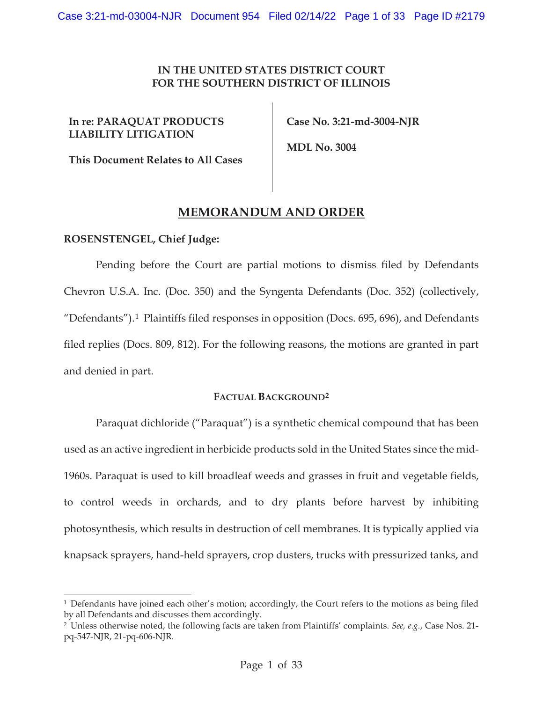# **IN THE UNITED STATES DISTRICT COURT FOR THE SOUTHERN DISTRICT OF ILLINOIS**

# **In re: PARAQUAT PRODUCTS LIABILITY LITIGATION**

 **Case No. 3:21-md-3004-NJR** 

**This Document Relates to All Cases** 

 **MDL No. 3004** 

# **MEMORANDUM AND ORDER**

# **ROSENSTENGEL, Chief Judge:**

Pending before the Court are partial motions to dismiss filed by Defendants Chevron U.S.A. Inc. (Doc. 350) and the Syngenta Defendants (Doc. 352) (collectively, "Defendants").1 Plaintiffs filed responses in opposition (Docs. 695, 696), and Defendants filed replies (Docs. 809, 812). For the following reasons, the motions are granted in part and denied in part.

## **FACTUAL BACKGROUND2**

Paraquat dichloride ("Paraquat") is a synthetic chemical compound that has been used as an active ingredient in herbicide products sold in the United States since the mid-1960s. Paraquat is used to kill broadleaf weeds and grasses in fruit and vegetable fields, to control weeds in orchards, and to dry plants before harvest by inhibiting photosynthesis, which results in destruction of cell membranes. It is typically applied via knapsack sprayers, hand-held sprayers, crop dusters, trucks with pressurized tanks, and

<sup>&</sup>lt;sup>1</sup> Defendants have joined each other's motion; accordingly, the Court refers to the motions as being filed by all Defendants and discusses them accordingly.

<sup>2</sup> Unless otherwise noted, the following facts are taken from Plaintiffs' complaints. *See, e.g.*, Case Nos. 21 pq-547-NJR, 21-pq-606-NJR.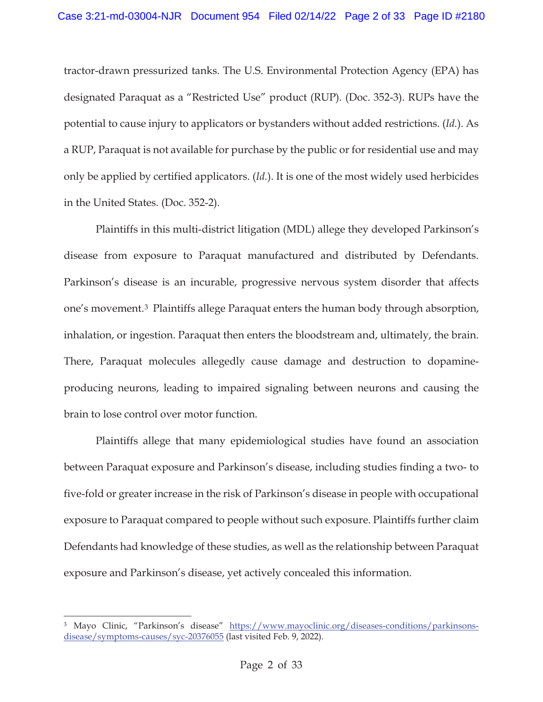tractor-drawn pressurized tanks. The U.S. Environmental Protection Agency (EPA) has designated Paraquat as a "Restricted Use" product (RUP). (Doc. 352-3). RUPs have the potential to cause injury to applicators or bystanders without added restrictions. (*Id.*). As a RUP, Paraquat is not available for purchase by the public or for residential use and may only be applied by certified applicators. (*Id.*). It is one of the most widely used herbicides in the United States. (Doc. 352-2).

Plaintiffs in this multi-district litigation (MDL) allege they developed Parkinson's disease from exposure to Paraquat manufactured and distributed by Defendants. Parkinson's disease is an incurable, progressive nervous system disorder that affects one's movement.3 Plaintiffs allege Paraquat enters the human body through absorption, inhalation, or ingestion. Paraquat then enters the bloodstream and, ultimately, the brain. There, Paraquat molecules allegedly cause damage and destruction to dopamineproducing neurons, leading to impaired signaling between neurons and causing the brain to lose control over motor function.

Plaintiffs allege that many epidemiological studies have found an association between Paraquat exposure and Parkinson's disease, including studies finding a two- to five-fold or greater increase in the risk of Parkinson's disease in people with occupational exposure to Paraquat compared to people without such exposure. Plaintiffs further claim Defendants had knowledge of these studies, as well as the relationship between Paraquat exposure and Parkinson's disease, yet actively concealed this information.

<sup>&</sup>lt;sup>3</sup> Mayo Clinic, "Parkinson's disease" https://www.mayoclinic.org/diseases-conditions/parkinsonsdisease/symptoms-causes/syc-20376055 (last visited Feb. 9, 2022).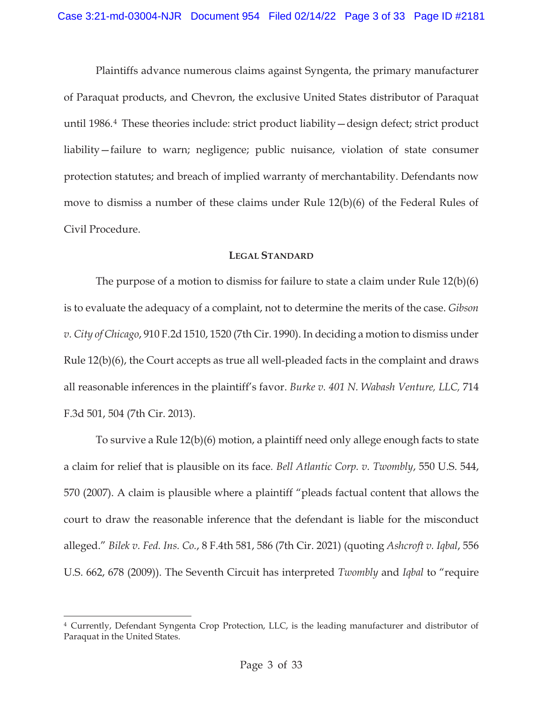Plaintiffs advance numerous claims against Syngenta, the primary manufacturer of Paraquat products, and Chevron, the exclusive United States distributor of Paraquat until 1986.4 These theories include: strict product liability—design defect; strict product liability—failure to warn; negligence; public nuisance, violation of state consumer protection statutes; and breach of implied warranty of merchantability. Defendants now move to dismiss a number of these claims under Rule 12(b)(6) of the Federal Rules of Civil Procedure.

#### **LEGAL STANDARD**

The purpose of a motion to dismiss for failure to state a claim under Rule 12(b)(6) is to evaluate the adequacy of a complaint, not to determine the merits of the case. *Gibson v. City of Chicago*, 910 F.2d 1510, 1520 (7th Cir. 1990). In deciding a motion to dismiss under Rule 12(b)(6), the Court accepts as true all well-pleaded facts in the complaint and draws all reasonable inferences in the plaintiff's favor. *Burke v. 401 N. Wabash Venture, LLC,* 714 F.3d 501, 504 (7th Cir. 2013).

To survive a Rule 12(b)(6) motion, a plaintiff need only allege enough facts to state a claim for relief that is plausible on its face*. Bell Atlantic Corp. v. Twombly*, 550 U.S. 544, 570 (2007). A claim is plausible where a plaintiff "pleads factual content that allows the court to draw the reasonable inference that the defendant is liable for the misconduct alleged." *Bilek v. Fed. Ins. Co.*, 8 F.4th 581, 586 (7th Cir. 2021) (quoting *Ashcroft v. Iqbal*, 556 U.S. 662, 678 (2009)). The Seventh Circuit has interpreted *Twombly* and *Iqbal* to "require

<sup>4</sup> Currently, Defendant Syngenta Crop Protection, LLC, is the leading manufacturer and distributor of Paraquat in the United States.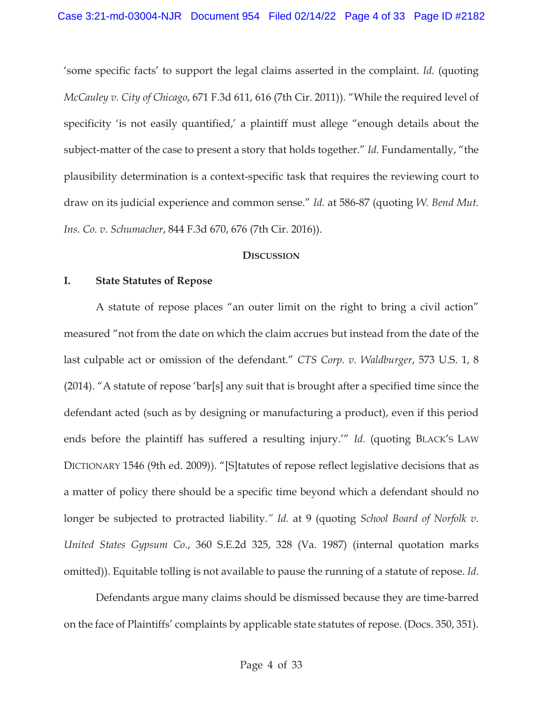'some specific facts' to support the legal claims asserted in the complaint. *Id.* (quoting *McCauley v. City of Chicago*, 671 F.3d 611, 616 (7th Cir. 2011)). "While the required level of specificity 'is not easily quantified,' a plaintiff must allege "enough details about the subject-matter of the case to present a story that holds together." *Id.* Fundamentally, "the plausibility determination is a context-specific task that requires the reviewing court to draw on its judicial experience and common sense." *Id.* at 586-87 (quoting *W. Bend Mut. Ins. Co. v. Schumacher*, 844 F.3d 670, 676 (7th Cir. 2016)).

#### **DISCUSSION**

## **I. State Statutes of Repose**

A statute of repose places "an outer limit on the right to bring a civil action" measured "not from the date on which the claim accrues but instead from the date of the last culpable act or omission of the defendant." *CTS Corp. v. Waldburger*, 573 U.S. 1, 8 (2014). "A statute of repose 'bar[s] any suit that is brought after a specified time since the defendant acted (such as by designing or manufacturing a product), even if this period ends before the plaintiff has suffered a resulting injury.'" *Id.* (quoting BLACK'S LAW DICTIONARY 1546 (9th ed. 2009)). "[S]tatutes of repose reflect legislative decisions that as a matter of policy there should be a specific time beyond which a defendant should no longer be subjected to protracted liability*." Id.* at 9 (quoting *School Board of Norfolk v. United States Gypsum Co.*, 360 S.E.2d 325, 328 (Va. 1987) (internal quotation marks omitted)). Equitable tolling is not available to pause the running of a statute of repose. *Id.* 

Defendants argue many claims should be dismissed because they are time-barred on the face of Plaintiffs' complaints by applicable state statutes of repose. (Docs. 350, 351).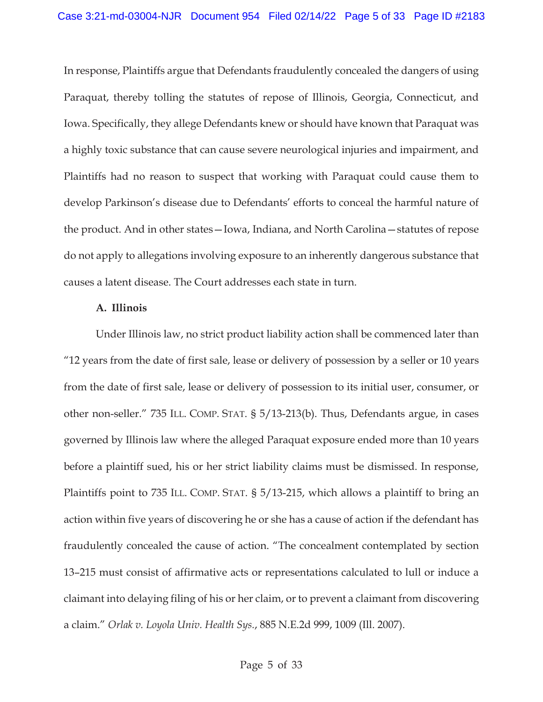In response, Plaintiffs argue that Defendants fraudulently concealed the dangers of using Paraquat, thereby tolling the statutes of repose of Illinois, Georgia, Connecticut, and Iowa. Specifically, they allege Defendants knew or should have known that Paraquat was a highly toxic substance that can cause severe neurological injuries and impairment, and Plaintiffs had no reason to suspect that working with Paraquat could cause them to develop Parkinson's disease due to Defendants' efforts to conceal the harmful nature of the product. And in other states—Iowa, Indiana, and North Carolina—statutes of repose do not apply to allegations involving exposure to an inherently dangerous substance that causes a latent disease. The Court addresses each state in turn.

## **A. Illinois**

Under Illinois law, no strict product liability action shall be commenced later than "12 years from the date of first sale, lease or delivery of possession by a seller or 10 years from the date of first sale, lease or delivery of possession to its initial user, consumer, or other non-seller." 735 ILL. COMP. STAT. § 5/13-213(b). Thus, Defendants argue, in cases governed by Illinois law where the alleged Paraquat exposure ended more than 10 years before a plaintiff sued, his or her strict liability claims must be dismissed. In response, Plaintiffs point to 735 ILL. COMP. STAT. § 5/13-215, which allows a plaintiff to bring an action within five years of discovering he or she has a cause of action if the defendant has fraudulently concealed the cause of action. "The concealment contemplated by section 13–215 must consist of affirmative acts or representations calculated to lull or induce a claimant into delaying filing of his or her claim, or to prevent a claimant from discovering a claim." *Orlak v. Loyola Univ. Health Sys.*, 885 N.E.2d 999, 1009 (Ill. 2007).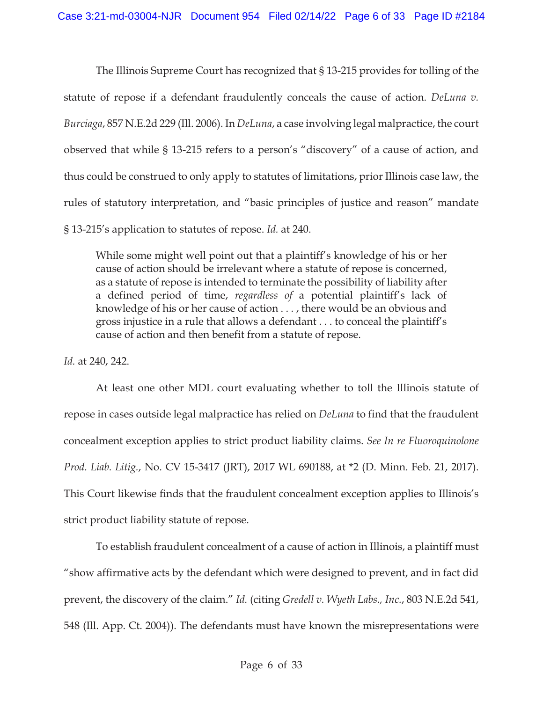The Illinois Supreme Court has recognized that § 13-215 provides for tolling of the statute of repose if a defendant fraudulently conceals the cause of action. *DeLuna v. Burciaga*, 857 N.E.2d 229 (Ill. 2006). In *DeLuna*, a case involving legal malpractice, the court observed that while § 13-215 refers to a person's "discovery" of a cause of action, and thus could be construed to only apply to statutes of limitations, prior Illinois case law, the rules of statutory interpretation, and "basic principles of justice and reason" mandate § 13-215's application to statutes of repose. *Id.* at 240.

While some might well point out that a plaintiff's knowledge of his or her cause of action should be irrelevant where a statute of repose is concerned, as a statute of repose is intended to terminate the possibility of liability after a defined period of time, *regardless of* a potential plaintiff's lack of knowledge of his or her cause of action . . . , there would be an obvious and gross injustice in a rule that allows a defendant . . . to conceal the plaintiff's cause of action and then benefit from a statute of repose.

*Id.* at 240, 242.

At least one other MDL court evaluating whether to toll the Illinois statute of repose in cases outside legal malpractice has relied on *DeLuna* to find that the fraudulent concealment exception applies to strict product liability claims. *See In re Fluoroquinolone Prod. Liab. Litig.*, No. CV 15-3417 (JRT), 2017 WL 690188, at \*2 (D. Minn. Feb. 21, 2017). This Court likewise finds that the fraudulent concealment exception applies to Illinois's strict product liability statute of repose.

To establish fraudulent concealment of a cause of action in Illinois, a plaintiff must "show affirmative acts by the defendant which were designed to prevent, and in fact did prevent, the discovery of the claim." *Id.* (citing *Gredell v. Wyeth Labs., Inc.*, 803 N.E.2d 541, 548 (Ill. App. Ct. 2004)). The defendants must have known the misrepresentations were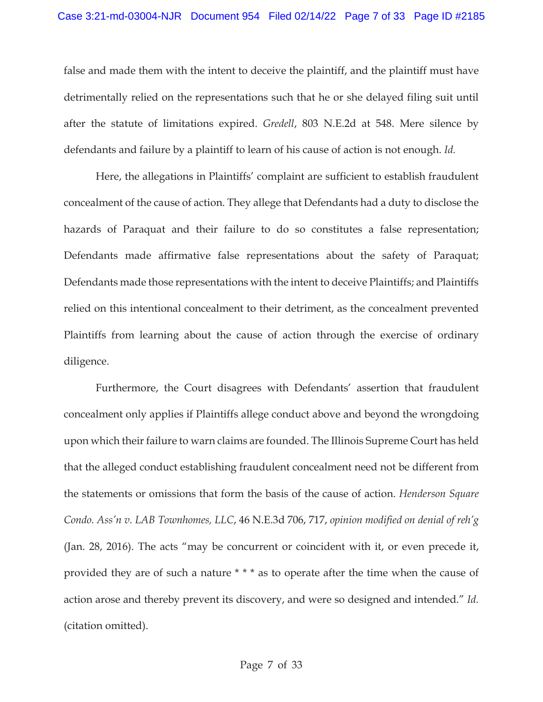false and made them with the intent to deceive the plaintiff, and the plaintiff must have detrimentally relied on the representations such that he or she delayed filing suit until after the statute of limitations expired. *Gredell*, 803 N.E.2d at 548. Mere silence by defendants and failure by a plaintiff to learn of his cause of action is not enough. *Id.*

 Here, the allegations in Plaintiffs' complaint are sufficient to establish fraudulent concealment of the cause of action. They allege that Defendants had a duty to disclose the hazards of Paraquat and their failure to do so constitutes a false representation; Defendants made affirmative false representations about the safety of Paraquat; Defendants made those representations with the intent to deceive Plaintiffs; and Plaintiffs relied on this intentional concealment to their detriment, as the concealment prevented Plaintiffs from learning about the cause of action through the exercise of ordinary diligence.

 Furthermore, the Court disagrees with Defendants' assertion that fraudulent concealment only applies if Plaintiffs allege conduct above and beyond the wrongdoing upon which their failure to warn claims are founded. The Illinois Supreme Court has held that the alleged conduct establishing fraudulent concealment need not be different from the statements or omissions that form the basis of the cause of action. *Henderson Square Condo. Ass'n v. LAB Townhomes, LLC*, 46 N.E.3d 706, 717, *opinion modified on denial of reh'g* (Jan. 28, 2016). The acts "may be concurrent or coincident with it, or even precede it, provided they are of such a nature \* \* \* as to operate after the time when the cause of action arose and thereby prevent its discovery, and were so designed and intended." *Id.* (citation omitted).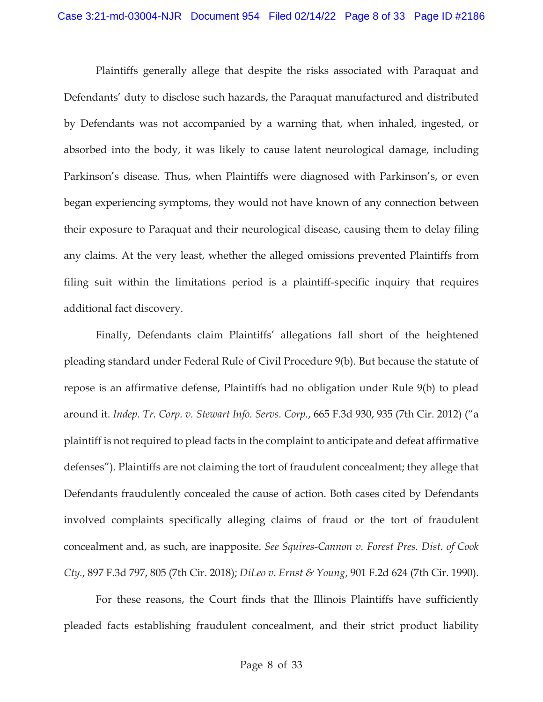Plaintiffs generally allege that despite the risks associated with Paraquat and Defendants' duty to disclose such hazards, the Paraquat manufactured and distributed by Defendants was not accompanied by a warning that, when inhaled, ingested, or absorbed into the body, it was likely to cause latent neurological damage, including Parkinson's disease. Thus, when Plaintiffs were diagnosed with Parkinson's, or even began experiencing symptoms, they would not have known of any connection between their exposure to Paraquat and their neurological disease, causing them to delay filing any claims. At the very least, whether the alleged omissions prevented Plaintiffs from filing suit within the limitations period is a plaintiff-specific inquiry that requires additional fact discovery.

Finally, Defendants claim Plaintiffs' allegations fall short of the heightened pleading standard under Federal Rule of Civil Procedure 9(b). But because the statute of repose is an affirmative defense, Plaintiffs had no obligation under Rule 9(b) to plead around it. *Indep. Tr. Corp. v. Stewart Info. Servs. Corp.*, 665 F.3d 930, 935 (7th Cir. 2012) ("a plaintiff is not required to plead facts in the complaint to anticipate and defeat affirmative defenses"). Plaintiffs are not claiming the tort of fraudulent concealment; they allege that Defendants fraudulently concealed the cause of action. Both cases cited by Defendants involved complaints specifically alleging claims of fraud or the tort of fraudulent concealment and, as such, are inapposite. *See Squires-Cannon v. Forest Pres. Dist. of Cook Cty.*, 897 F.3d 797, 805 (7th Cir. 2018); *DiLeo v. Ernst & Young*, 901 F.2d 624 (7th Cir. 1990).

For these reasons, the Court finds that the Illinois Plaintiffs have sufficiently pleaded facts establishing fraudulent concealment, and their strict product liability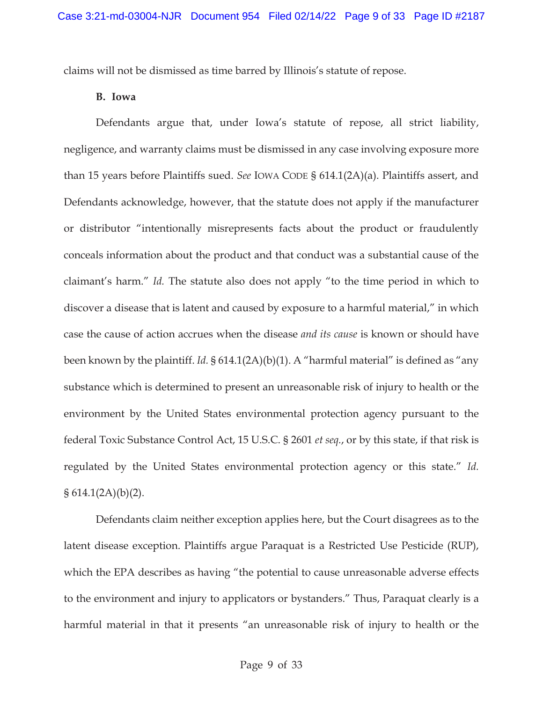claims will not be dismissed as time barred by Illinois's statute of repose.

#### **B. Iowa**

Defendants argue that, under Iowa's statute of repose, all strict liability, negligence, and warranty claims must be dismissed in any case involving exposure more than 15 years before Plaintiffs sued. *See* IOWA CODE § 614.1(2A)(a). Plaintiffs assert, and Defendants acknowledge, however, that the statute does not apply if the manufacturer or distributor "intentionally misrepresents facts about the product or fraudulently conceals information about the product and that conduct was a substantial cause of the claimant's harm." *Id.* The statute also does not apply "to the time period in which to discover a disease that is latent and caused by exposure to a harmful material," in which case the cause of action accrues when the disease *and its cause* is known or should have been known by the plaintiff. *Id.* § 614.1(2A)(b)(1). A "harmful material" is defined as "any substance which is determined to present an unreasonable risk of injury to health or the environment by the United States environmental protection agency pursuant to the federal Toxic Substance Control Act, 15 U.S.C. § 2601 *et seq.*, or by this state, if that risk is regulated by the United States environmental protection agency or this state." *Id.*   $§ 614.1(2A)(b)(2).$ 

Defendants claim neither exception applies here, but the Court disagrees as to the latent disease exception. Plaintiffs argue Paraquat is a Restricted Use Pesticide (RUP), which the EPA describes as having "the potential to cause unreasonable adverse effects to the environment and injury to applicators or bystanders." Thus, Paraquat clearly is a harmful material in that it presents "an unreasonable risk of injury to health or the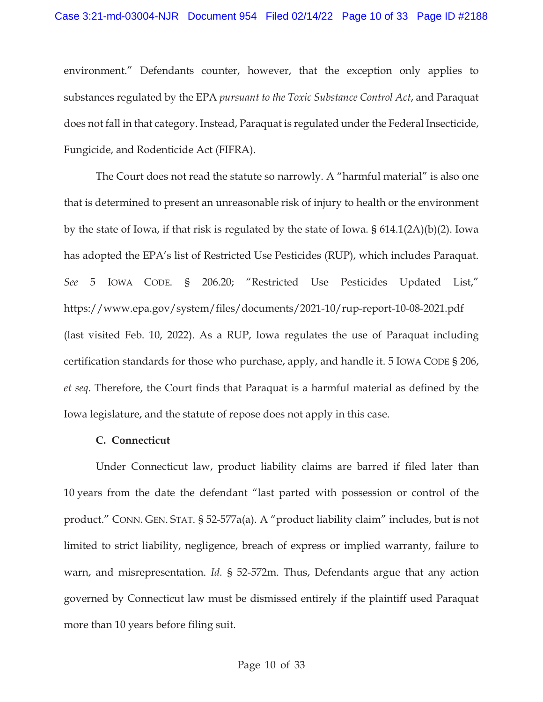environment." Defendants counter, however, that the exception only applies to substances regulated by the EPA *pursuant to the Toxic Substance Control Act*, and Paraquat does not fall in that category. Instead, Paraquat is regulated under the Federal Insecticide, Fungicide, and Rodenticide Act (FIFRA).

The Court does not read the statute so narrowly. A "harmful material" is also one that is determined to present an unreasonable risk of injury to health or the environment by the state of Iowa, if that risk is regulated by the state of Iowa. § 614.1(2A)(b)(2). Iowa has adopted the EPA's list of Restricted Use Pesticides (RUP), which includes Paraquat. *See* 5 IOWA CODE. § 206.20; "Restricted Use Pesticides Updated List," https://www.epa.gov/system/files/documents/2021-10/rup-report-10-08-2021.pdf (last visited Feb. 10, 2022). As a RUP, Iowa regulates the use of Paraquat including certification standards for those who purchase, apply, and handle it. 5 IOWA CODE § 206, *et seq*. Therefore, the Court finds that Paraquat is a harmful material as defined by the Iowa legislature, and the statute of repose does not apply in this case.

## **C. Connecticut**

Under Connecticut law, product liability claims are barred if filed later than 10 years from the date the defendant "last parted with possession or control of the product." CONN. GEN. STAT. § 52-577a(a). A "product liability claim" includes, but is not limited to strict liability, negligence, breach of express or implied warranty, failure to warn, and misrepresentation. *Id.* § 52-572m. Thus, Defendants argue that any action governed by Connecticut law must be dismissed entirely if the plaintiff used Paraquat more than 10 years before filing suit.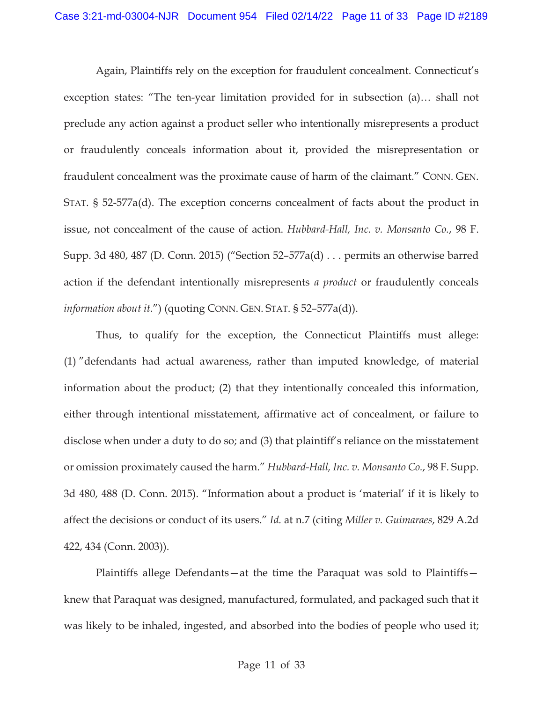Again, Plaintiffs rely on the exception for fraudulent concealment. Connecticut's exception states: "The ten-year limitation provided for in subsection (a)… shall not preclude any action against a product seller who intentionally misrepresents a product or fraudulently conceals information about it, provided the misrepresentation or fraudulent concealment was the proximate cause of harm of the claimant." CONN. GEN. STAT. § 52-577a(d). The exception concerns concealment of facts about the product in issue, not concealment of the cause of action. *Hubbard-Hall, Inc. v. Monsanto Co.*, 98 F. Supp. 3d 480, 487 (D. Conn. 2015) ("Section 52–577a(d) . . . permits an otherwise barred action if the defendant intentionally misrepresents *a product* or fraudulently conceals *information about it*.") (quoting CONN. GEN. STAT. § 52–577a(d)).

Thus, to qualify for the exception, the Connecticut Plaintiffs must allege: (1) "defendants had actual awareness, rather than imputed knowledge, of material information about the product; (2) that they intentionally concealed this information, either through intentional misstatement, affirmative act of concealment, or failure to disclose when under a duty to do so; and (3) that plaintiff's reliance on the misstatement or omission proximately caused the harm." *Hubbard-Hall, Inc. v. Monsanto Co.*, 98 F. Supp. 3d 480, 488 (D. Conn. 2015). "Information about a product is 'material' if it is likely to affect the decisions or conduct of its users." *Id.* at n.7 (citing *Miller v. Guimaraes*, 829 A.2d 422, 434 (Conn. 2003)).

Plaintiffs allege Defendants—at the time the Paraquat was sold to Plaintiffs knew that Paraquat was designed, manufactured, formulated, and packaged such that it was likely to be inhaled, ingested, and absorbed into the bodies of people who used it;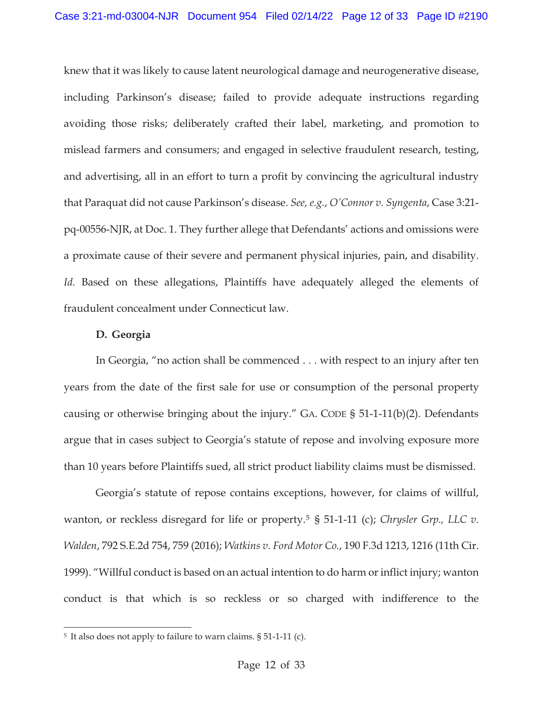knew that it was likely to cause latent neurological damage and neurogenerative disease, including Parkinson's disease; failed to provide adequate instructions regarding avoiding those risks; deliberately crafted their label, marketing, and promotion to mislead farmers and consumers; and engaged in selective fraudulent research, testing, and advertising, all in an effort to turn a profit by convincing the agricultural industry that Paraquat did not cause Parkinson's disease. *See, e.g.*, *O'Connor v. Syngenta*, Case 3:21 pq-00556-NJR, at Doc. 1. They further allege that Defendants' actions and omissions were a proximate cause of their severe and permanent physical injuries, pain, and disability. *Id.* Based on these allegations, Plaintiffs have adequately alleged the elements of fraudulent concealment under Connecticut law.

## **D. Georgia**

In Georgia, "no action shall be commenced . . . with respect to an injury after ten years from the date of the first sale for use or consumption of the personal property causing or otherwise bringing about the injury." GA. CODE § 51-1-11(b)(2). Defendants argue that in cases subject to Georgia's statute of repose and involving exposure more than 10 years before Plaintiffs sued, all strict product liability claims must be dismissed.

Georgia's statute of repose contains exceptions, however, for claims of willful, wanton, or reckless disregard for life or property.<sup>5</sup> § 51-1-11 (c); *Chrysler Grp., LLC v. Walden*, 792 S.E.2d 754, 759 (2016); *Watkins v. Ford Motor Co.*, 190 F.3d 1213, 1216 (11th Cir. 1999). "Willful conduct is based on an actual intention to do harm or inflict injury; wanton conduct is that which is so reckless or so charged with indifference to the

<sup>5</sup> It also does not apply to failure to warn claims. § 51-1-11 (c).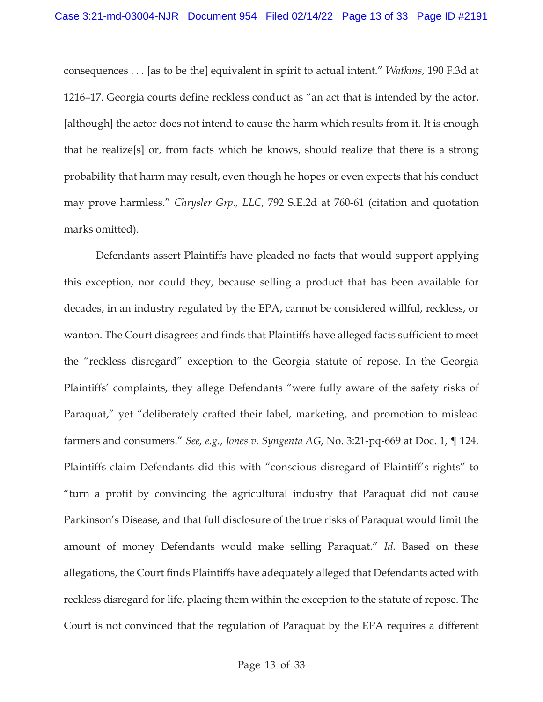consequences . . . [as to be the] equivalent in spirit to actual intent." *Watkins*, 190 F.3d at 1216–17. Georgia courts define reckless conduct as "an act that is intended by the actor, [although] the actor does not intend to cause the harm which results from it. It is enough that he realize[s] or, from facts which he knows, should realize that there is a strong probability that harm may result, even though he hopes or even expects that his conduct may prove harmless." *Chrysler Grp., LLC*, 792 S.E.2d at 760-61 (citation and quotation marks omitted).

Defendants assert Plaintiffs have pleaded no facts that would support applying this exception, nor could they, because selling a product that has been available for decades, in an industry regulated by the EPA, cannot be considered willful, reckless, or wanton. The Court disagrees and finds that Plaintiffs have alleged facts sufficient to meet the "reckless disregard" exception to the Georgia statute of repose. In the Georgia Plaintiffs' complaints, they allege Defendants "were fully aware of the safety risks of Paraquat," yet "deliberately crafted their label, marketing, and promotion to mislead farmers and consumers." *See, e.g.*, *Jones v. Syngenta AG*, No. 3:21-pq-669 at Doc. 1, ¶ 124. Plaintiffs claim Defendants did this with "conscious disregard of Plaintiff's rights" to "turn a profit by convincing the agricultural industry that Paraquat did not cause Parkinson's Disease, and that full disclosure of the true risks of Paraquat would limit the amount of money Defendants would make selling Paraquat." *Id.* Based on these allegations, the Court finds Plaintiffs have adequately alleged that Defendants acted with reckless disregard for life, placing them within the exception to the statute of repose. The Court is not convinced that the regulation of Paraquat by the EPA requires a different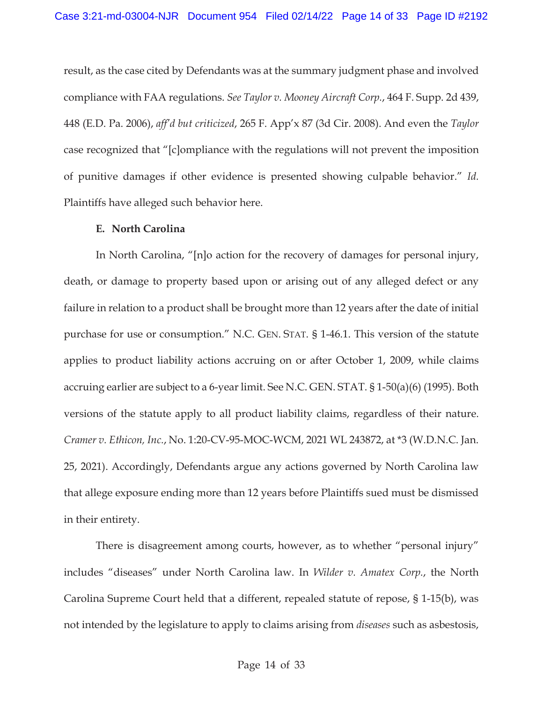result, as the case cited by Defendants was at the summary judgment phase and involved compliance with FAA regulations. *See Taylor v. Mooney Aircraft Corp.*, 464 F. Supp. 2d 439, 448 (E.D. Pa. 2006), *aff'd but criticized*, 265 F. App'x 87 (3d Cir. 2008). And even the *Taylor* case recognized that "[c]ompliance with the regulations will not prevent the imposition of punitive damages if other evidence is presented showing culpable behavior." *Id.* Plaintiffs have alleged such behavior here.

## **E. North Carolina**

In North Carolina, "[n]o action for the recovery of damages for personal injury, death, or damage to property based upon or arising out of any alleged defect or any failure in relation to a product shall be brought more than 12 years after the date of initial purchase for use or consumption." N.C. GEN. STAT. § 1-46.1. This version of the statute applies to product liability actions accruing on or after October 1, 2009, while claims accruing earlier are subject to a 6-year limit. See N.C. GEN. STAT. § 1-50(a)(6) (1995). Both versions of the statute apply to all product liability claims, regardless of their nature. *Cramer v. Ethicon, Inc.*, No. 1:20-CV-95-MOC-WCM, 2021 WL 243872, at \*3 (W.D.N.C. Jan. 25, 2021). Accordingly, Defendants argue any actions governed by North Carolina law that allege exposure ending more than 12 years before Plaintiffs sued must be dismissed in their entirety.

 There is disagreement among courts, however, as to whether "personal injury" includes "diseases" under North Carolina law. In *Wilder v. Amatex Corp.*, the North Carolina Supreme Court held that a different, repealed statute of repose, § 1-15(b), was not intended by the legislature to apply to claims arising from *diseases* such as asbestosis,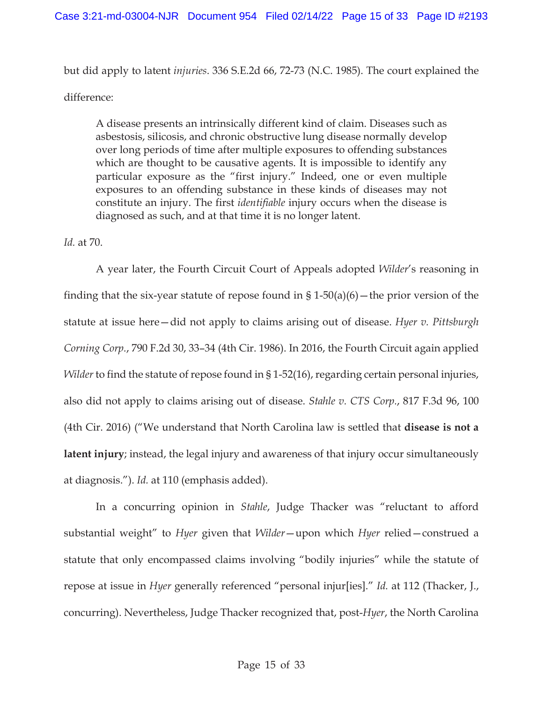but did apply to latent *injuries*. 336 S.E.2d 66, 72-73 (N.C. 1985). The court explained the difference:

A disease presents an intrinsically different kind of claim. Diseases such as asbestosis, silicosis, and chronic obstructive lung disease normally develop over long periods of time after multiple exposures to offending substances which are thought to be causative agents. It is impossible to identify any particular exposure as the "first injury." Indeed, one or even multiple exposures to an offending substance in these kinds of diseases may not constitute an injury. The first *identifiable* injury occurs when the disease is diagnosed as such, and at that time it is no longer latent.

## *Id.* at 70.

 A year later, the Fourth Circuit Court of Appeals adopted *Wilder*'s reasoning in finding that the six-year statute of repose found in §  $1-50(a)(6)$  – the prior version of the statute at issue here—did not apply to claims arising out of disease. *Hyer v. Pittsburgh Corning Corp.*, 790 F.2d 30, 33–34 (4th Cir. 1986). In 2016, the Fourth Circuit again applied *Wilder* to find the statute of repose found in § 1-52(16), regarding certain personal injuries, also did not apply to claims arising out of disease. *Stahle v. CTS Corp.*, 817 F.3d 96, 100 (4th Cir. 2016) ("We understand that North Carolina law is settled that **disease is not a latent injury**; instead, the legal injury and awareness of that injury occur simultaneously at diagnosis."). *Id.* at 110 (emphasis added).

 In a concurring opinion in *Stahle*, Judge Thacker was "reluctant to afford substantial weight" to *Hyer* given that *Wilder*—upon which *Hyer* relied—construed a statute that only encompassed claims involving "bodily injuries" while the statute of repose at issue in *Hyer* generally referenced "personal injur[ies]." *Id.* at 112 (Thacker, J., concurring). Nevertheless, Judge Thacker recognized that, post-*Hyer*, the North Carolina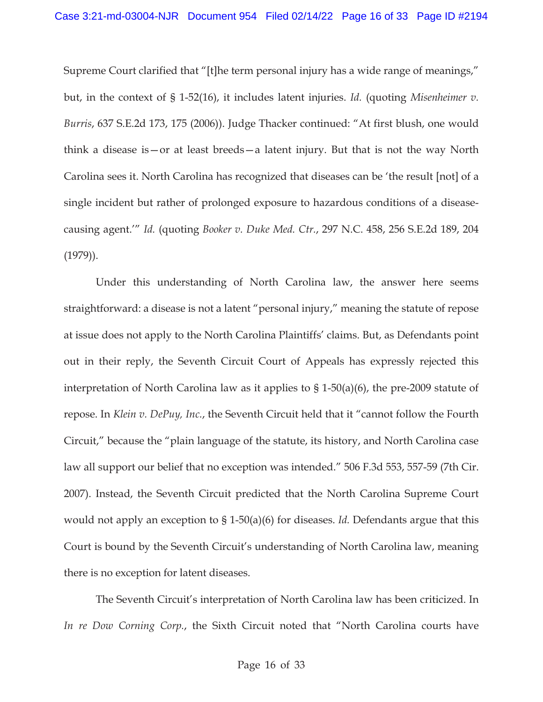Supreme Court clarified that "[t]he term personal injury has a wide range of meanings," but, in the context of § 1-52(16), it includes latent injuries. *Id.* (quoting *Misenheimer v. Burris*, 637 S.E.2d 173, 175 (2006)). Judge Thacker continued: "At first blush, one would think a disease is—or at least breeds—a latent injury. But that is not the way North Carolina sees it. North Carolina has recognized that diseases can be 'the result [not] of a single incident but rather of prolonged exposure to hazardous conditions of a diseasecausing agent.'" *Id.* (quoting *Booker v. Duke Med. Ctr.*, 297 N.C. 458, 256 S.E.2d 189, 204 (1979)).

 Under this understanding of North Carolina law, the answer here seems straightforward: a disease is not a latent "personal injury," meaning the statute of repose at issue does not apply to the North Carolina Plaintiffs' claims. But, as Defendants point out in their reply, the Seventh Circuit Court of Appeals has expressly rejected this interpretation of North Carolina law as it applies to § 1-50(a)(6), the pre-2009 statute of repose. In *Klein v. DePuy, Inc.*, the Seventh Circuit held that it "cannot follow the Fourth Circuit," because the "plain language of the statute, its history, and North Carolina case law all support our belief that no exception was intended." 506 F.3d 553, 557-59 (7th Cir. 2007). Instead, the Seventh Circuit predicted that the North Carolina Supreme Court would not apply an exception to § 1-50(a)(6) for diseases. *Id.* Defendants argue that this Court is bound by the Seventh Circuit's understanding of North Carolina law, meaning there is no exception for latent diseases.

 The Seventh Circuit's interpretation of North Carolina law has been criticized. In *In re Dow Corning Corp.*, the Sixth Circuit noted that "North Carolina courts have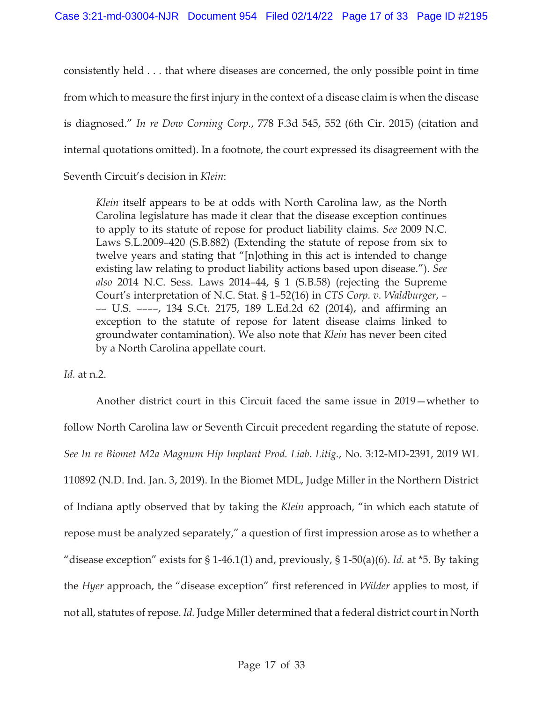consistently held . . . that where diseases are concerned, the only possible point in time from which to measure the first injury in the context of a disease claim is when the disease is diagnosed." *In re Dow Corning Corp.*, 778 F.3d 545, 552 (6th Cir. 2015) (citation and internal quotations omitted). In a footnote, the court expressed its disagreement with the

Seventh Circuit's decision in *Klein*:

*Klein* itself appears to be at odds with North Carolina law, as the North Carolina legislature has made it clear that the disease exception continues to apply to its statute of repose for product liability claims. *See* 2009 N.C. Laws S.L.2009–420 (S.B.882) (Extending the statute of repose from six to twelve years and stating that "[n]othing in this act is intended to change existing law relating to product liability actions based upon disease."). *See also* 2014 N.C. Sess. Laws 2014–44, § 1 (S.B.58) (rejecting the Supreme Court's interpretation of N.C. Stat. § 1–52(16) in *CTS Corp. v. Waldburger*, – –– U.S. ––––, 134 S.Ct. 2175, 189 L.Ed.2d 62 (2014), and affirming an exception to the statute of repose for latent disease claims linked to groundwater contamination). We also note that *Klein* has never been cited by a North Carolina appellate court.

## *Id.* at n.2.

 Another district court in this Circuit faced the same issue in 2019—whether to follow North Carolina law or Seventh Circuit precedent regarding the statute of repose. *See In re Biomet M2a Magnum Hip Implant Prod. Liab. Litig.*, No. 3:12-MD-2391, 2019 WL 110892 (N.D. Ind. Jan. 3, 2019). In the Biomet MDL, Judge Miller in the Northern District of Indiana aptly observed that by taking the *Klein* approach, "in which each statute of repose must be analyzed separately," a question of first impression arose as to whether a "disease exception" exists for § 1-46.1(1) and, previously, § 1-50(a)(6). *Id.* at \*5. By taking the *Hyer* approach, the "disease exception" first referenced in *Wilder* applies to most, if not all, statutes of repose. *Id.* Judge Miller determined that a federal district court in North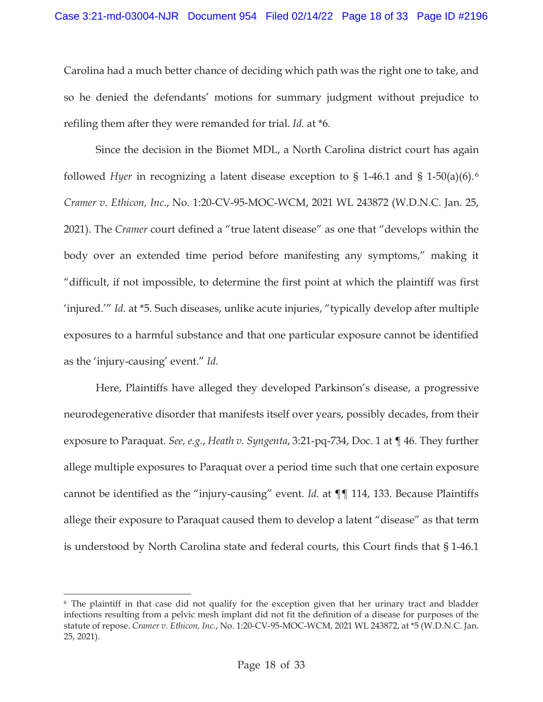Carolina had a much better chance of deciding which path was the right one to take, and so he denied the defendants' motions for summary judgment without prejudice to refiling them after they were remanded for trial. *Id.* at \*6.

 Since the decision in the Biomet MDL, a North Carolina district court has again followed *Hyer* in recognizing a latent disease exception to § 1-46.1 and § 1-50(a)(6). <sup>6</sup> *Cramer v. Ethicon, Inc.*, No. 1:20-CV-95-MOC-WCM, 2021 WL 243872 (W.D.N.C. Jan. 25, 2021). The *Cramer* court defined a "true latent disease" as one that "develops within the body over an extended time period before manifesting any symptoms," making it "difficult, if not impossible, to determine the first point at which the plaintiff was first 'injured.'" *Id.* at \*5. Such diseases, unlike acute injuries, "typically develop after multiple exposures to a harmful substance and that one particular exposure cannot be identified as the 'injury-causing' event." *Id.* 

 Here, Plaintiffs have alleged they developed Parkinson's disease, a progressive neurodegenerative disorder that manifests itself over years, possibly decades, from their exposure to Paraquat. *See, e.g.*, *Heath v. Syngenta*, 3:21-pq-734, Doc. 1 at ¶ 46. They further allege multiple exposures to Paraquat over a period time such that one certain exposure cannot be identified as the "injury-causing" event. *Id.* at ¶¶ 114, 133. Because Plaintiffs allege their exposure to Paraquat caused them to develop a latent "disease" as that term is understood by North Carolina state and federal courts, this Court finds that § 1-46.1

<sup>6</sup> The plaintiff in that case did not qualify for the exception given that her urinary tract and bladder infections resulting from a pelvic mesh implant did not fit the definition of a disease for purposes of the statute of repose. *Cramer v. Ethicon, Inc.*, No. 1:20-CV-95-MOC-WCM, 2021 WL 243872, at \*5 (W.D.N.C. Jan. 25, 2021).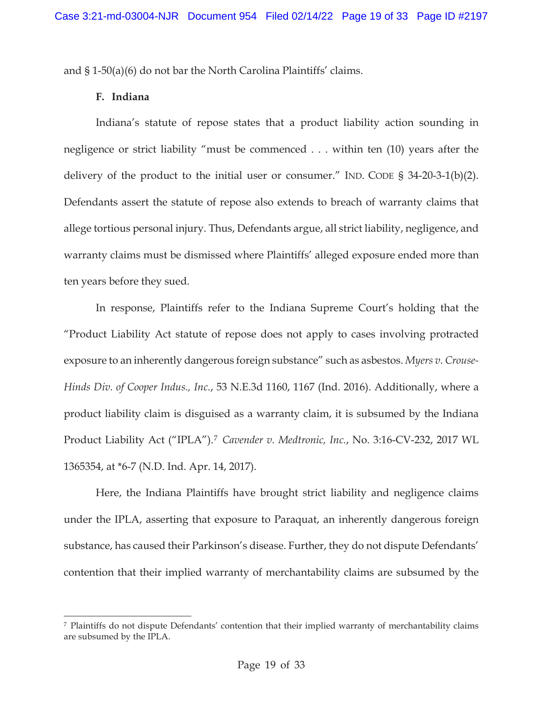and § 1-50(a)(6) do not bar the North Carolina Plaintiffs' claims.

#### **F. Indiana**

Indiana's statute of repose states that a product liability action sounding in negligence or strict liability "must be commenced . . . within ten (10) years after the delivery of the product to the initial user or consumer." IND. CODE § 34-20-3-1(b)(2). Defendants assert the statute of repose also extends to breach of warranty claims that allege tortious personal injury. Thus, Defendants argue, all strict liability, negligence, and warranty claims must be dismissed where Plaintiffs' alleged exposure ended more than ten years before they sued.

In response, Plaintiffs refer to the Indiana Supreme Court's holding that the "Product Liability Act statute of repose does not apply to cases involving protracted exposure to an inherently dangerous foreign substance" such as asbestos. *Myers v. Crouse-Hinds Div. of Cooper Indus., Inc.*, 53 N.E.3d 1160, 1167 (Ind. 2016). Additionally, where a product liability claim is disguised as a warranty claim, it is subsumed by the Indiana Product Liability Act ("IPLA").7 *Cavender v. Medtronic, Inc.*, No. 3:16-CV-232, 2017 WL 1365354, at \*6-7 (N.D. Ind. Apr. 14, 2017).

Here, the Indiana Plaintiffs have brought strict liability and negligence claims under the IPLA, asserting that exposure to Paraquat, an inherently dangerous foreign substance, has caused their Parkinson's disease. Further, they do not dispute Defendants' contention that their implied warranty of merchantability claims are subsumed by the

<sup>7</sup> Plaintiffs do not dispute Defendants' contention that their implied warranty of merchantability claims are subsumed by the IPLA.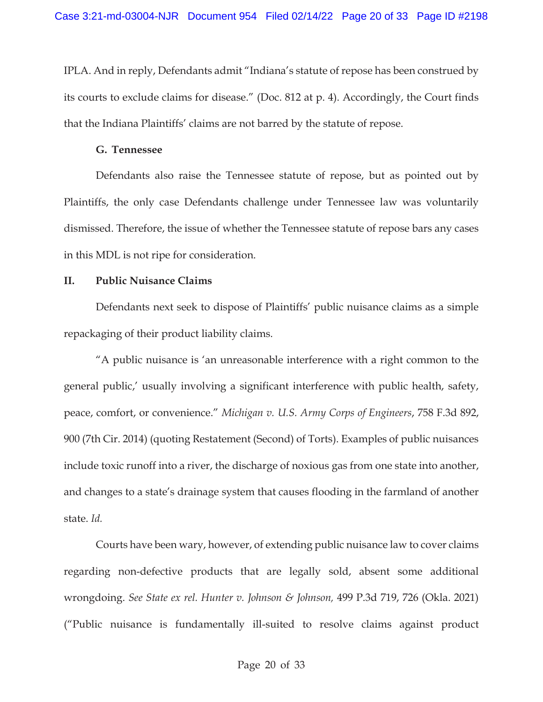IPLA. And in reply, Defendants admit "Indiana's statute of repose has been construed by its courts to exclude claims for disease." (Doc. 812 at p. 4). Accordingly, the Court finds that the Indiana Plaintiffs' claims are not barred by the statute of repose.

#### **G. Tennessee**

 Defendants also raise the Tennessee statute of repose, but as pointed out by Plaintiffs, the only case Defendants challenge under Tennessee law was voluntarily dismissed. Therefore, the issue of whether the Tennessee statute of repose bars any cases in this MDL is not ripe for consideration.

## **II. Public Nuisance Claims**

Defendants next seek to dispose of Plaintiffs' public nuisance claims as a simple repackaging of their product liability claims.

"A public nuisance is 'an unreasonable interference with a right common to the general public,' usually involving a significant interference with public health, safety, peace, comfort, or convenience." *Michigan v. U.S. Army Corps of Engineers*, 758 F.3d 892, 900 (7th Cir. 2014) (quoting Restatement (Second) of Torts). Examples of public nuisances include toxic runoff into a river, the discharge of noxious gas from one state into another, and changes to a state's drainage system that causes flooding in the farmland of another state. *Id.* 

Courts have been wary, however, of extending public nuisance law to cover claims regarding non-defective products that are legally sold, absent some additional wrongdoing. *See State ex rel. Hunter v. Johnson & Johnson,* 499 P.3d 719, 726 (Okla. 2021) ("Public nuisance is fundamentally ill-suited to resolve claims against product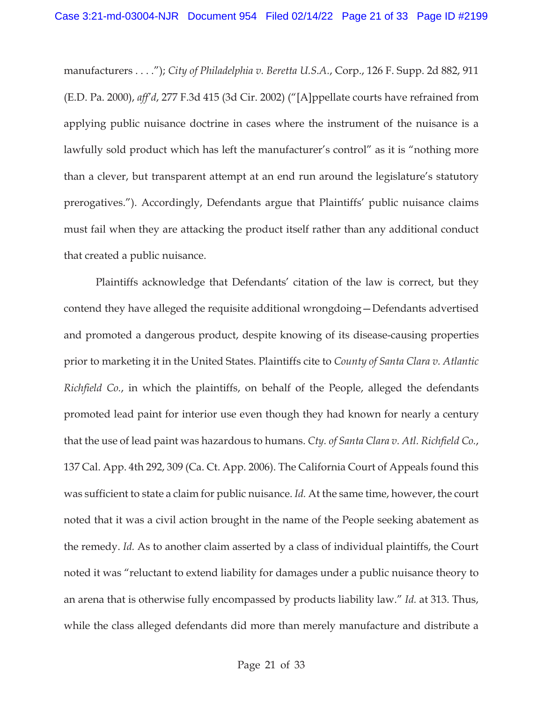manufacturers . . . ."); *City of Philadelphia v. Beretta U.S.A.*, Corp., 126 F. Supp. 2d 882, 911 (E.D. Pa. 2000), *aff'd*, 277 F.3d 415 (3d Cir. 2002) ("[A]ppellate courts have refrained from applying public nuisance doctrine in cases where the instrument of the nuisance is a lawfully sold product which has left the manufacturer's control" as it is "nothing more than a clever, but transparent attempt at an end run around the legislature's statutory prerogatives."). Accordingly, Defendants argue that Plaintiffs' public nuisance claims must fail when they are attacking the product itself rather than any additional conduct that created a public nuisance.

 Plaintiffs acknowledge that Defendants' citation of the law is correct, but they contend they have alleged the requisite additional wrongdoing—Defendants advertised and promoted a dangerous product, despite knowing of its disease-causing properties prior to marketing it in the United States. Plaintiffs cite to *County of Santa Clara v. Atlantic Richfield Co.*, in which the plaintiffs, on behalf of the People, alleged the defendants promoted lead paint for interior use even though they had known for nearly a century that the use of lead paint was hazardous to humans. *Cty. of Santa Clara v. Atl. Richfield Co.*, 137 Cal. App. 4th 292, 309 (Ca. Ct. App. 2006). The California Court of Appeals found this was sufficient to state a claim for public nuisance. *Id.* At the same time, however, the court noted that it was a civil action brought in the name of the People seeking abatement as the remedy. *Id.* As to another claim asserted by a class of individual plaintiffs, the Court noted it was "reluctant to extend liability for damages under a public nuisance theory to an arena that is otherwise fully encompassed by products liability law." *Id.* at 313. Thus, while the class alleged defendants did more than merely manufacture and distribute a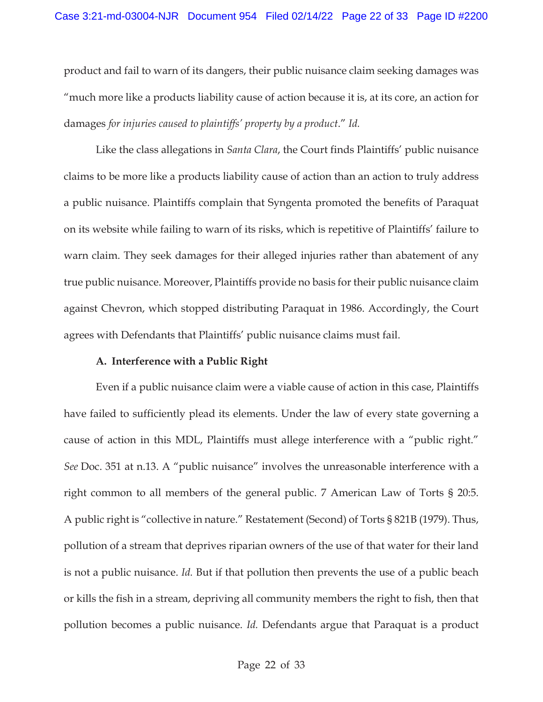product and fail to warn of its dangers, their public nuisance claim seeking damages was "much more like a products liability cause of action because it is, at its core, an action for damages *for injuries caused to plaintiffs' property by a product*." *Id.*

Like the class allegations in *Santa Clara*, the Court finds Plaintiffs' public nuisance claims to be more like a products liability cause of action than an action to truly address a public nuisance. Plaintiffs complain that Syngenta promoted the benefits of Paraquat on its website while failing to warn of its risks, which is repetitive of Plaintiffs' failure to warn claim. They seek damages for their alleged injuries rather than abatement of any true public nuisance. Moreover, Plaintiffs provide no basis for their public nuisance claim against Chevron, which stopped distributing Paraquat in 1986. Accordingly, the Court agrees with Defendants that Plaintiffs' public nuisance claims must fail.

#### **A. Interference with a Public Right**

 Even if a public nuisance claim were a viable cause of action in this case, Plaintiffs have failed to sufficiently plead its elements. Under the law of every state governing a cause of action in this MDL, Plaintiffs must allege interference with a "public right." *See* Doc. 351 at n.13. A "public nuisance" involves the unreasonable interference with a right common to all members of the general public. 7 American Law of Torts § 20:5. A public right is "collective in nature." Restatement (Second) of Torts § 821B (1979). Thus, pollution of a stream that deprives riparian owners of the use of that water for their land is not a public nuisance. *Id.* But if that pollution then prevents the use of a public beach or kills the fish in a stream, depriving all community members the right to fish, then that pollution becomes a public nuisance. *Id.* Defendants argue that Paraquat is a product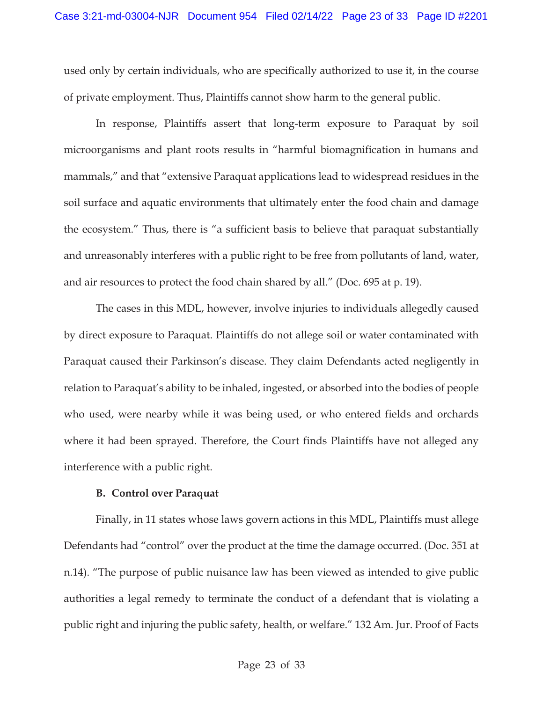used only by certain individuals, who are specifically authorized to use it, in the course of private employment. Thus, Plaintiffs cannot show harm to the general public.

 In response, Plaintiffs assert that long-term exposure to Paraquat by soil microorganisms and plant roots results in "harmful biomagnification in humans and mammals," and that "extensive Paraquat applications lead to widespread residues in the soil surface and aquatic environments that ultimately enter the food chain and damage the ecosystem." Thus, there is "a sufficient basis to believe that paraquat substantially and unreasonably interferes with a public right to be free from pollutants of land, water, and air resources to protect the food chain shared by all." (Doc. 695 at p. 19).

 The cases in this MDL, however, involve injuries to individuals allegedly caused by direct exposure to Paraquat. Plaintiffs do not allege soil or water contaminated with Paraquat caused their Parkinson's disease. They claim Defendants acted negligently in relation to Paraquat's ability to be inhaled, ingested, or absorbed into the bodies of people who used, were nearby while it was being used, or who entered fields and orchards where it had been sprayed. Therefore, the Court finds Plaintiffs have not alleged any interference with a public right.

#### **B. Control over Paraquat**

 Finally, in 11 states whose laws govern actions in this MDL, Plaintiffs must allege Defendants had "control" over the product at the time the damage occurred. (Doc. 351 at n.14). "The purpose of public nuisance law has been viewed as intended to give public authorities a legal remedy to terminate the conduct of a defendant that is violating a public right and injuring the public safety, health, or welfare." 132 Am. Jur. Proof of Facts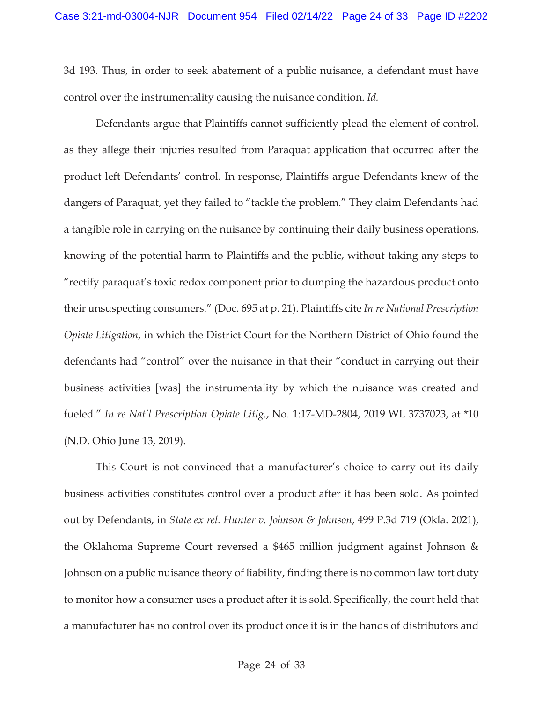3d 193. Thus, in order to seek abatement of a public nuisance, a defendant must have control over the instrumentality causing the nuisance condition. *Id.*

 Defendants argue that Plaintiffs cannot sufficiently plead the element of control, as they allege their injuries resulted from Paraquat application that occurred after the product left Defendants' control. In response, Plaintiffs argue Defendants knew of the dangers of Paraquat, yet they failed to "tackle the problem." They claim Defendants had a tangible role in carrying on the nuisance by continuing their daily business operations, knowing of the potential harm to Plaintiffs and the public, without taking any steps to "rectify paraquat's toxic redox component prior to dumping the hazardous product onto their unsuspecting consumers." (Doc. 695 at p. 21). Plaintiffs cite *In re National Prescription Opiate Litigation*, in which the District Court for the Northern District of Ohio found the defendants had "control" over the nuisance in that their "conduct in carrying out their business activities [was] the instrumentality by which the nuisance was created and fueled." *In re Nat'l Prescription Opiate Litig.*, No. 1:17-MD-2804, 2019 WL 3737023, at \*10 (N.D. Ohio June 13, 2019).

 This Court is not convinced that a manufacturer's choice to carry out its daily business activities constitutes control over a product after it has been sold. As pointed out by Defendants, in *State ex rel. Hunter v. Johnson & Johnson*, 499 P.3d 719 (Okla. 2021), the Oklahoma Supreme Court reversed a \$465 million judgment against Johnson & Johnson on a public nuisance theory of liability, finding there is no common law tort duty to monitor how a consumer uses a product after it is sold. Specifically, the court held that a manufacturer has no control over its product once it is in the hands of distributors and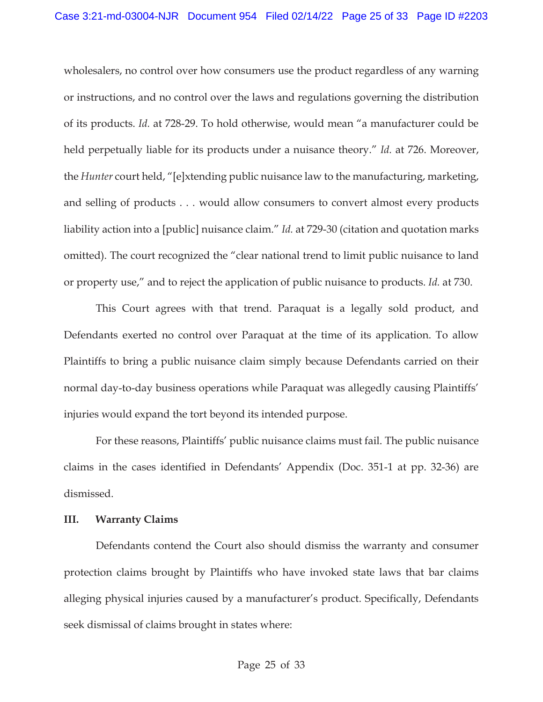wholesalers, no control over how consumers use the product regardless of any warning or instructions, and no control over the laws and regulations governing the distribution of its products. *Id.* at 728-29. To hold otherwise, would mean "a manufacturer could be held perpetually liable for its products under a nuisance theory." *Id.* at 726. Moreover, the *Hunter* court held, "[e]xtending public nuisance law to the manufacturing, marketing, and selling of products . . . would allow consumers to convert almost every products liability action into a [public] nuisance claim." *Id.* at 729-30 (citation and quotation marks omitted). The court recognized the "clear national trend to limit public nuisance to land or property use," and to reject the application of public nuisance to products. *Id.* at 730.

 This Court agrees with that trend. Paraquat is a legally sold product, and Defendants exerted no control over Paraquat at the time of its application. To allow Plaintiffs to bring a public nuisance claim simply because Defendants carried on their normal day-to-day business operations while Paraquat was allegedly causing Plaintiffs' injuries would expand the tort beyond its intended purpose.

 For these reasons, Plaintiffs' public nuisance claims must fail. The public nuisance claims in the cases identified in Defendants' Appendix (Doc. 351-1 at pp. 32-36) are dismissed.

#### **III. Warranty Claims**

 Defendants contend the Court also should dismiss the warranty and consumer protection claims brought by Plaintiffs who have invoked state laws that bar claims alleging physical injuries caused by a manufacturer's product. Specifically, Defendants seek dismissal of claims brought in states where: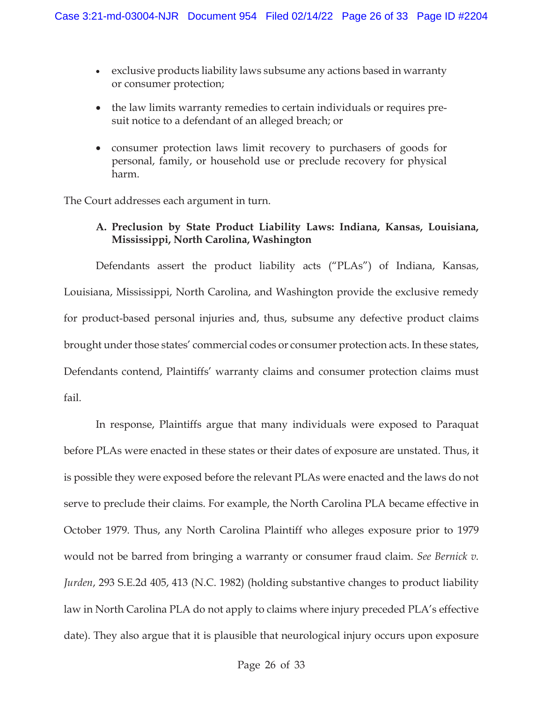- exclusive products liability laws subsume any actions based in warranty or consumer protection;
- the law limits warranty remedies to certain individuals or requires presuit notice to a defendant of an alleged breach; or
- consumer protection laws limit recovery to purchasers of goods for personal, family, or household use or preclude recovery for physical harm.

The Court addresses each argument in turn.

# **A. Preclusion by State Product Liability Laws: Indiana, Kansas, Louisiana, Mississippi, North Carolina, Washington**

Defendants assert the product liability acts ("PLAs") of Indiana, Kansas, Louisiana, Mississippi, North Carolina, and Washington provide the exclusive remedy for product-based personal injuries and, thus, subsume any defective product claims brought under those states' commercial codes or consumer protection acts. In these states, Defendants contend, Plaintiffs' warranty claims and consumer protection claims must fail.

 In response, Plaintiffs argue that many individuals were exposed to Paraquat before PLAs were enacted in these states or their dates of exposure are unstated. Thus, it is possible they were exposed before the relevant PLAs were enacted and the laws do not serve to preclude their claims. For example, the North Carolina PLA became effective in October 1979. Thus, any North Carolina Plaintiff who alleges exposure prior to 1979 would not be barred from bringing a warranty or consumer fraud claim. *See Bernick v. Jurden*, 293 S.E.2d 405, 413 (N.C. 1982) (holding substantive changes to product liability law in North Carolina PLA do not apply to claims where injury preceded PLA's effective date). They also argue that it is plausible that neurological injury occurs upon exposure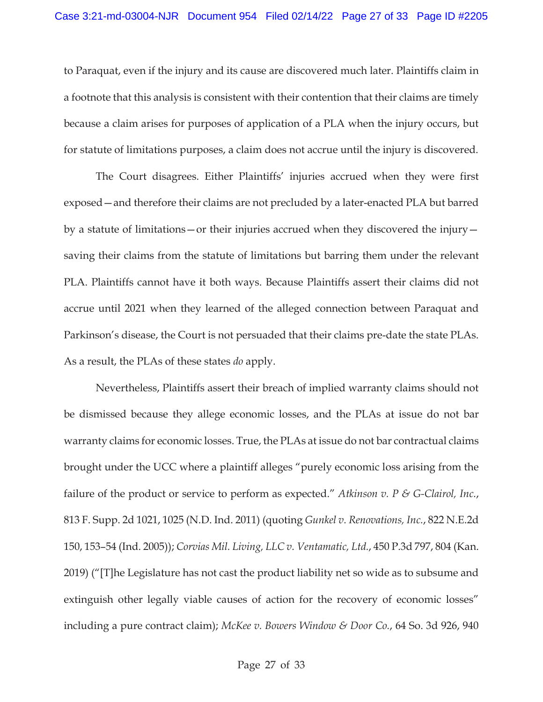to Paraquat, even if the injury and its cause are discovered much later. Plaintiffs claim in a footnote that this analysis is consistent with their contention that their claims are timely because a claim arises for purposes of application of a PLA when the injury occurs, but for statute of limitations purposes, a claim does not accrue until the injury is discovered.

 The Court disagrees. Either Plaintiffs' injuries accrued when they were first exposed—and therefore their claims are not precluded by a later-enacted PLA but barred by a statute of limitations—or their injuries accrued when they discovered the injury saving their claims from the statute of limitations but barring them under the relevant PLA. Plaintiffs cannot have it both ways. Because Plaintiffs assert their claims did not accrue until 2021 when they learned of the alleged connection between Paraquat and Parkinson's disease, the Court is not persuaded that their claims pre-date the state PLAs. As a result, the PLAs of these states *do* apply.

 Nevertheless, Plaintiffs assert their breach of implied warranty claims should not be dismissed because they allege economic losses, and the PLAs at issue do not bar warranty claims for economic losses. True, the PLAs at issue do not bar contractual claims brought under the UCC where a plaintiff alleges "purely economic loss arising from the failure of the product or service to perform as expected." *Atkinson v. P & G-Clairol, Inc.*, 813 F. Supp. 2d 1021, 1025 (N.D. Ind. 2011) (quoting *Gunkel v. Renovations, Inc.*, 822 N.E.2d 150, 153–54 (Ind. 2005)); *Corvias Mil. Living, LLC v. Ventamatic, Ltd.*, 450 P.3d 797, 804 (Kan. 2019) ("[T]he Legislature has not cast the product liability net so wide as to subsume and extinguish other legally viable causes of action for the recovery of economic losses" including a pure contract claim); *McKee v. Bowers Window & Door Co.*, 64 So. 3d 926, 940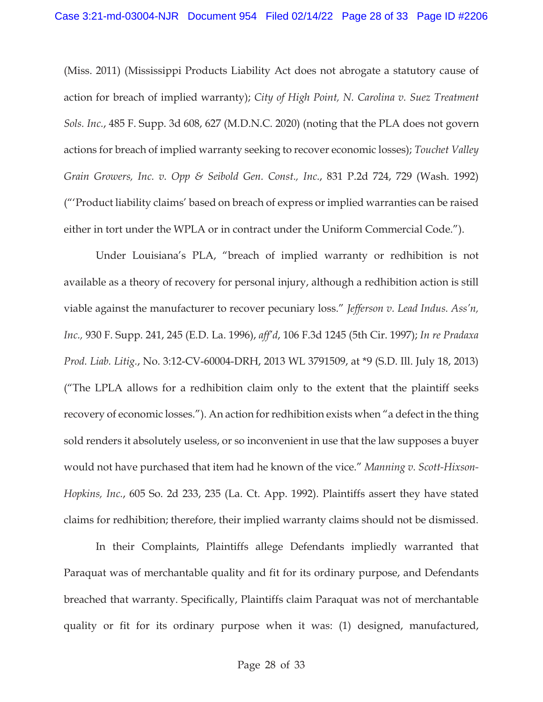(Miss. 2011) (Mississippi Products Liability Act does not abrogate a statutory cause of action for breach of implied warranty); *City of High Point, N. Carolina v. Suez Treatment Sols. Inc.*, 485 F. Supp. 3d 608, 627 (M.D.N.C. 2020) (noting that the PLA does not govern actions for breach of implied warranty seeking to recover economic losses); *Touchet Valley Grain Growers, Inc. v. Opp & Seibold Gen. Const., Inc.*, 831 P.2d 724, 729 (Wash. 1992) ("'Product liability claims' based on breach of express or implied warranties can be raised either in tort under the WPLA or in contract under the Uniform Commercial Code.").

 Under Louisiana's PLA, "breach of implied warranty or redhibition is not available as a theory of recovery for personal injury, although a redhibition action is still viable against the manufacturer to recover pecuniary loss." *Jefferson v. Lead Indus. Ass'n, Inc.,* 930 F. Supp. 241, 245 (E.D. La. 1996), *aff'd*, 106 F.3d 1245 (5th Cir. 1997); *In re Pradaxa Prod. Liab. Litig.*, No. 3:12-CV-60004-DRH, 2013 WL 3791509, at \*9 (S.D. Ill. July 18, 2013) ("The LPLA allows for a redhibition claim only to the extent that the plaintiff seeks recovery of economic losses."). An action for redhibition exists when "a defect in the thing sold renders it absolutely useless, or so inconvenient in use that the law supposes a buyer would not have purchased that item had he known of the vice." *Manning v. Scott-Hixson-Hopkins, Inc.*, 605 So. 2d 233, 235 (La. Ct. App. 1992). Plaintiffs assert they have stated claims for redhibition; therefore, their implied warranty claims should not be dismissed.

 In their Complaints, Plaintiffs allege Defendants impliedly warranted that Paraquat was of merchantable quality and fit for its ordinary purpose, and Defendants breached that warranty. Specifically, Plaintiffs claim Paraquat was not of merchantable quality or fit for its ordinary purpose when it was: (1) designed, manufactured,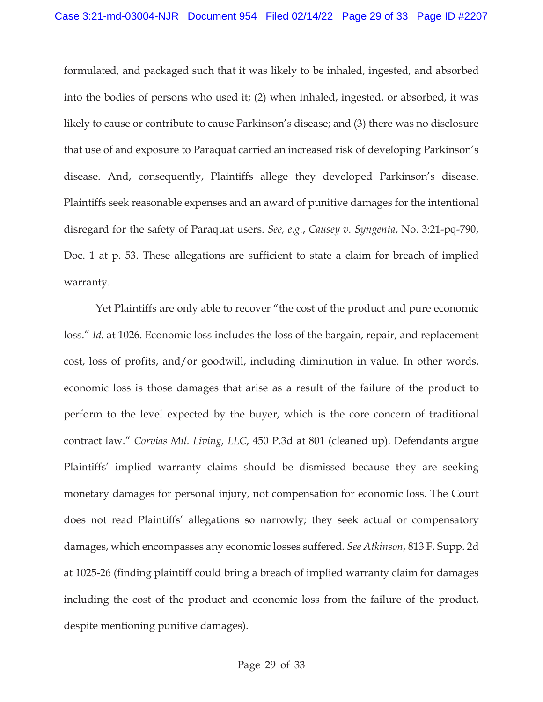formulated, and packaged such that it was likely to be inhaled, ingested, and absorbed into the bodies of persons who used it; (2) when inhaled, ingested, or absorbed, it was likely to cause or contribute to cause Parkinson's disease; and (3) there was no disclosure that use of and exposure to Paraquat carried an increased risk of developing Parkinson's disease. And, consequently, Plaintiffs allege they developed Parkinson's disease. Plaintiffs seek reasonable expenses and an award of punitive damages for the intentional disregard for the safety of Paraquat users. *See, e.g.*, *Causey v. Syngenta*, No. 3:21-pq-790, Doc. 1 at p. 53. These allegations are sufficient to state a claim for breach of implied warranty.

 Yet Plaintiffs are only able to recover "the cost of the product and pure economic loss." *Id.* at 1026. Economic loss includes the loss of the bargain, repair, and replacement cost, loss of profits, and/or goodwill, including diminution in value. In other words, economic loss is those damages that arise as a result of the failure of the product to perform to the level expected by the buyer, which is the core concern of traditional contract law." *Corvias Mil. Living, LLC*, 450 P.3d at 801 (cleaned up). Defendants argue Plaintiffs' implied warranty claims should be dismissed because they are seeking monetary damages for personal injury, not compensation for economic loss. The Court does not read Plaintiffs' allegations so narrowly; they seek actual or compensatory damages, which encompasses any economic losses suffered. *See Atkinson*, 813 F. Supp. 2d at 1025-26 (finding plaintiff could bring a breach of implied warranty claim for damages including the cost of the product and economic loss from the failure of the product, despite mentioning punitive damages).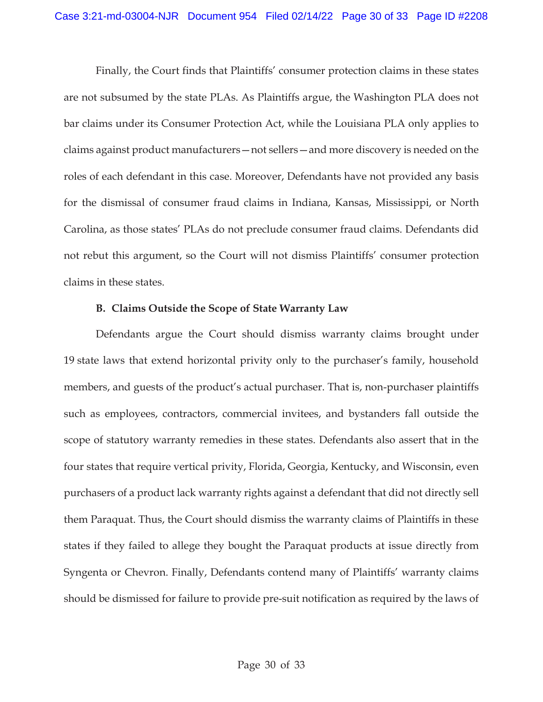Finally, the Court finds that Plaintiffs' consumer protection claims in these states are not subsumed by the state PLAs. As Plaintiffs argue, the Washington PLA does not bar claims under its Consumer Protection Act, while the Louisiana PLA only applies to claims against product manufacturers—not sellers—and more discovery is needed on the roles of each defendant in this case. Moreover, Defendants have not provided any basis for the dismissal of consumer fraud claims in Indiana, Kansas, Mississippi, or North Carolina, as those states' PLAs do not preclude consumer fraud claims. Defendants did not rebut this argument, so the Court will not dismiss Plaintiffs' consumer protection claims in these states.

## **B. Claims Outside the Scope of State Warranty Law**

 Defendants argue the Court should dismiss warranty claims brought under 19 state laws that extend horizontal privity only to the purchaser's family, household members, and guests of the product's actual purchaser. That is, non-purchaser plaintiffs such as employees, contractors, commercial invitees, and bystanders fall outside the scope of statutory warranty remedies in these states. Defendants also assert that in the four states that require vertical privity, Florida, Georgia, Kentucky, and Wisconsin, even purchasers of a product lack warranty rights against a defendant that did not directly sell them Paraquat. Thus, the Court should dismiss the warranty claims of Plaintiffs in these states if they failed to allege they bought the Paraquat products at issue directly from Syngenta or Chevron. Finally, Defendants contend many of Plaintiffs' warranty claims should be dismissed for failure to provide pre-suit notification as required by the laws of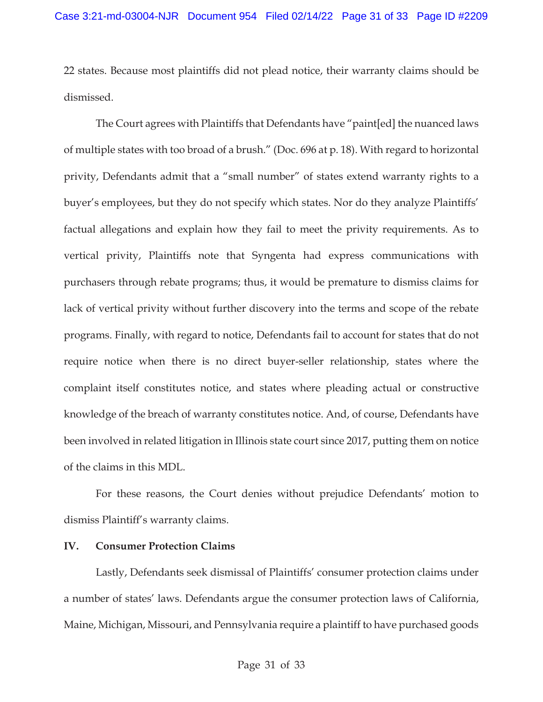22 states. Because most plaintiffs did not plead notice, their warranty claims should be dismissed.

 The Court agrees with Plaintiffs that Defendants have "paint[ed] the nuanced laws of multiple states with too broad of a brush." (Doc. 696 at p. 18). With regard to horizontal privity, Defendants admit that a "small number" of states extend warranty rights to a buyer's employees, but they do not specify which states. Nor do they analyze Plaintiffs' factual allegations and explain how they fail to meet the privity requirements. As to vertical privity, Plaintiffs note that Syngenta had express communications with purchasers through rebate programs; thus, it would be premature to dismiss claims for lack of vertical privity without further discovery into the terms and scope of the rebate programs. Finally, with regard to notice, Defendants fail to account for states that do not require notice when there is no direct buyer-seller relationship, states where the complaint itself constitutes notice, and states where pleading actual or constructive knowledge of the breach of warranty constitutes notice. And, of course, Defendants have been involved in related litigation in Illinois state court since 2017, putting them on notice of the claims in this MDL.

 For these reasons, the Court denies without prejudice Defendants' motion to dismiss Plaintiff's warranty claims.

# **IV. Consumer Protection Claims**

Lastly, Defendants seek dismissal of Plaintiffs' consumer protection claims under a number of states' laws. Defendants argue the consumer protection laws of California, Maine, Michigan, Missouri, and Pennsylvania require a plaintiff to have purchased goods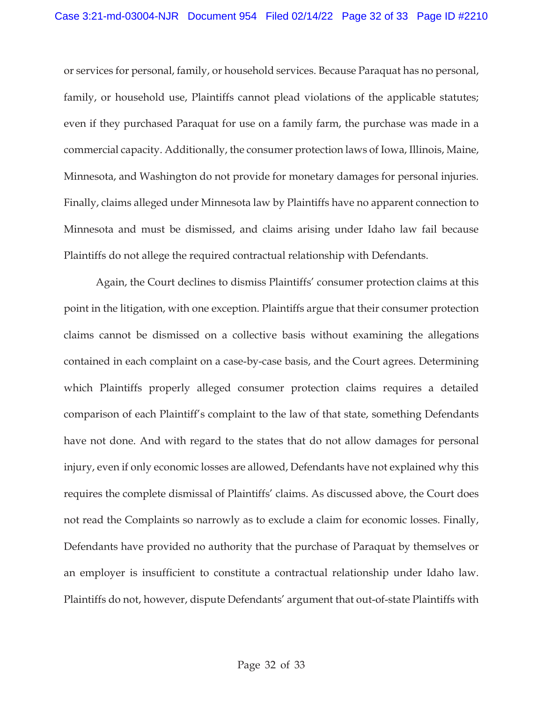or services for personal, family, or household services. Because Paraquat has no personal, family, or household use, Plaintiffs cannot plead violations of the applicable statutes; even if they purchased Paraquat for use on a family farm, the purchase was made in a commercial capacity. Additionally, the consumer protection laws of Iowa, Illinois, Maine, Minnesota, and Washington do not provide for monetary damages for personal injuries. Finally, claims alleged under Minnesota law by Plaintiffs have no apparent connection to Minnesota and must be dismissed, and claims arising under Idaho law fail because Plaintiffs do not allege the required contractual relationship with Defendants.

 Again, the Court declines to dismiss Plaintiffs' consumer protection claims at this point in the litigation, with one exception. Plaintiffs argue that their consumer protection claims cannot be dismissed on a collective basis without examining the allegations contained in each complaint on a case-by-case basis, and the Court agrees. Determining which Plaintiffs properly alleged consumer protection claims requires a detailed comparison of each Plaintiff's complaint to the law of that state, something Defendants have not done. And with regard to the states that do not allow damages for personal injury, even if only economic losses are allowed, Defendants have not explained why this requires the complete dismissal of Plaintiffs' claims. As discussed above, the Court does not read the Complaints so narrowly as to exclude a claim for economic losses. Finally, Defendants have provided no authority that the purchase of Paraquat by themselves or an employer is insufficient to constitute a contractual relationship under Idaho law. Plaintiffs do not, however, dispute Defendants' argument that out-of-state Plaintiffs with